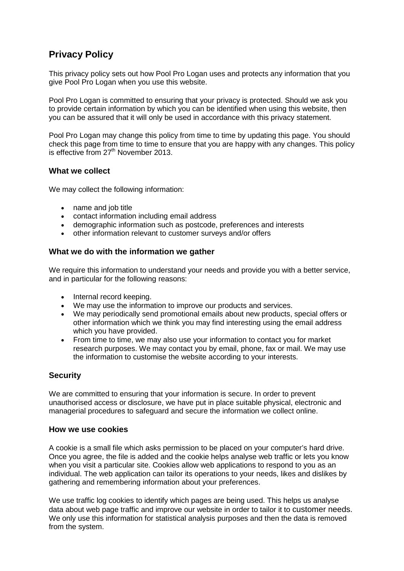# **Privacy Policy**

This privacy policy sets out how Pool Pro Logan uses and protects any information that you give Pool Pro Logan when you use this website.

Pool Pro Logan is committed to ensuring that your privacy is protected. Should we ask you to provide certain information by which you can be identified when using this website, then you can be assured that it will only be used in accordance with this privacy statement.

Pool Pro Logan may change this policy from time to time by updating this page. You should check this page from time to time to ensure that you are happy with any changes. This policy is effective from 27<sup>th</sup> November 2013.

## **What we collect**

We may collect the following information:

- name and job title
- contact information including email address
- demographic information such as postcode, preferences and interests
- other information relevant to customer surveys and/or offers

## **What we do with the information we gather**

We require this information to understand your needs and provide you with a better service, and in particular for the following reasons:

- Internal record keeping.
- We may use the information to improve our products and services.
- We may periodically send promotional emails about new products, special offers or other information which we think you may find interesting using the email address which you have provided.
- From time to time, we may also use your information to contact you for market research purposes. We may contact you by email, phone, fax or mail. We may use the information to customise the website according to your interests.

# **Security**

We are committed to ensuring that your information is secure. In order to prevent unauthorised access or disclosure, we have put in place suitable physical, electronic and managerial procedures to safeguard and secure the information we collect online.

#### **How we use cookies**

A cookie is a small file which asks permission to be placed on your computer's hard drive. Once you agree, the file is added and the cookie helps analyse web traffic or lets you know when you visit a particular site. Cookies allow web applications to respond to you as an individual. The web application can tailor its operations to your needs, likes and dislikes by gathering and remembering information about your preferences.

We use traffic log cookies to identify which pages are being used. This helps us analyse data about web page traffic and improve our website in order to tailor it to customer needs. We only use this information for statistical analysis purposes and then the data is removed from the system.